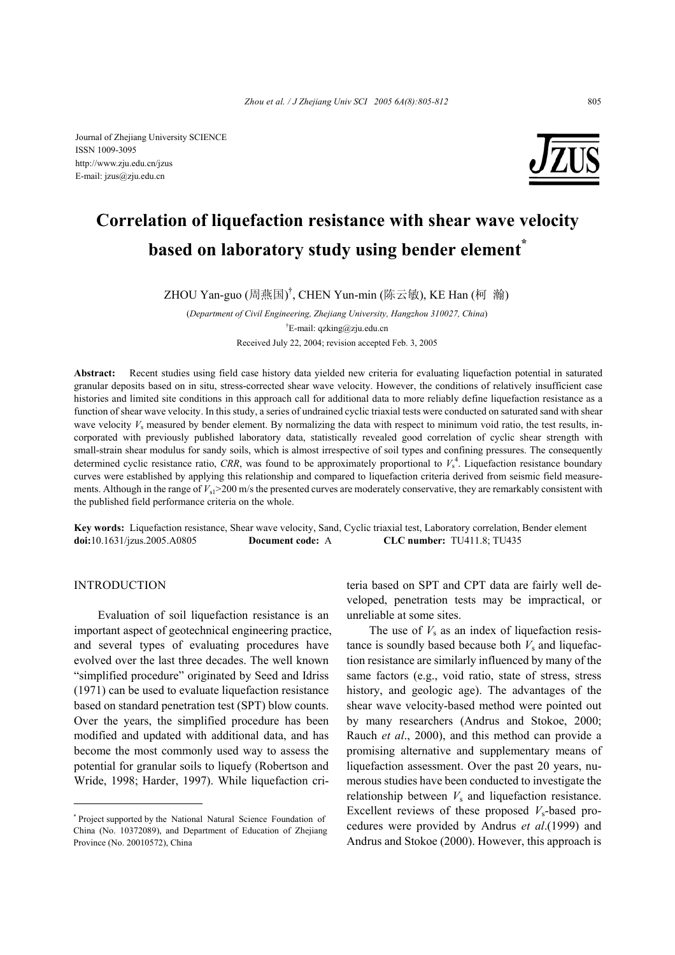Journal of Zhejiang University SCIENCE ISSN 1009-3095 http://www.zju.edu.cn/jzus E-mail: jzus@zju.edu.cn



# **Correlation of liquefaction resistance with shear wave velocity based on laboratory study using bender element**

ZHOU Yan-guo (周燕国) † , CHEN Yun-min (陈云敏), KE Han (柯 瀚)

(*Department of Civil Engineering, Zhejiang University, Hangzhou 310027, China*) <sup>†</sup>E-mail: qzking@zju.edu.cn

Received July 22, 2004; revision accepted Feb. 3, 2005

**Abstract:** Recent studies using field case history data yielded new criteria for evaluating liquefaction potential in saturated granular deposits based on in situ, stress-corrected shear wave velocity. However, the conditions of relatively insufficient case histories and limited site conditions in this approach call for additional data to more reliably define liquefaction resistance as a function of shear wave velocity. In this study, a series of undrained cyclic triaxial tests were conducted on saturated sand with shear wave velocity  $V_s$  measured by bender element. By normalizing the data with respect to minimum void ratio, the test results, incorporated with previously published laboratory data, statistically revealed good correlation of cyclic shear strength with small-strain shear modulus for sandy soils, which is almost irrespective of soil types and confining pressures. The consequently determined cyclic resistance ratio, CRR, was found to be approximately proportional to  $V_s^4$ . Liquefaction resistance boundary curves were established by applying this relationship and compared to liquefaction criteria derived from seismic field measurements. Although in the range of  $V_{\rm s}$  > 200 m/s the presented curves are moderately conservative, they are remarkably consistent with the published field performance criteria on the whole.

**Key words:** Liquefaction resistance, Shear wave velocity, Sand, Cyclic triaxial test, Laboratory correlation, Bender element **doi:**10.1631/jzus.2005.A0805 **Document code:** A **CLC number:** TU411.8; TU435

# INTRODUCTION

Evaluation of soil liquefaction resistance is an important aspect of geotechnical engineering practice, and several types of evaluating procedures have evolved over the last three decades. The well known "simplified procedure" originated by Seed and Idriss (1971) can be used to evaluate liquefaction resistance based on standard penetration test (SPT) blow counts. Over the years, the simplified procedure has been modified and updated with additional data, and has become the most commonly used way to assess the potential for granular soils to liquefy (Robertson and Wride, 1998; Harder, 1997). While liquefaction criteria based on SPT and CPT data are fairly well developed, penetration tests may be impractical, or unreliable at some sites.

The use of  $V_s$  as an index of liquefaction resistance is soundly based because both  $V_s$  and liquefaction resistance are similarly influenced by many of the same factors (e.g., void ratio, state of stress, stress history, and geologic age). The advantages of the shear wave velocity-based method were pointed out by many researchers (Andrus and Stokoe, 2000; Rauch *et al*., 2000), and this method can provide a promising alternative and supplementary means of liquefaction assessment. Over the past 20 years, numerous studies have been conducted to investigate the relationship between  $V_s$  and liquefaction resistance. Excellent reviews of these proposed *V*s-based procedures were provided by Andrus *et al*.(1999) and Andrus and Stokoe (2000). However, this approach is

<sup>\*</sup> Project supported by the National Natural Science Foundation of China (No. 10372089), and Department of Education of Zhejiang Province (No. 20010572), China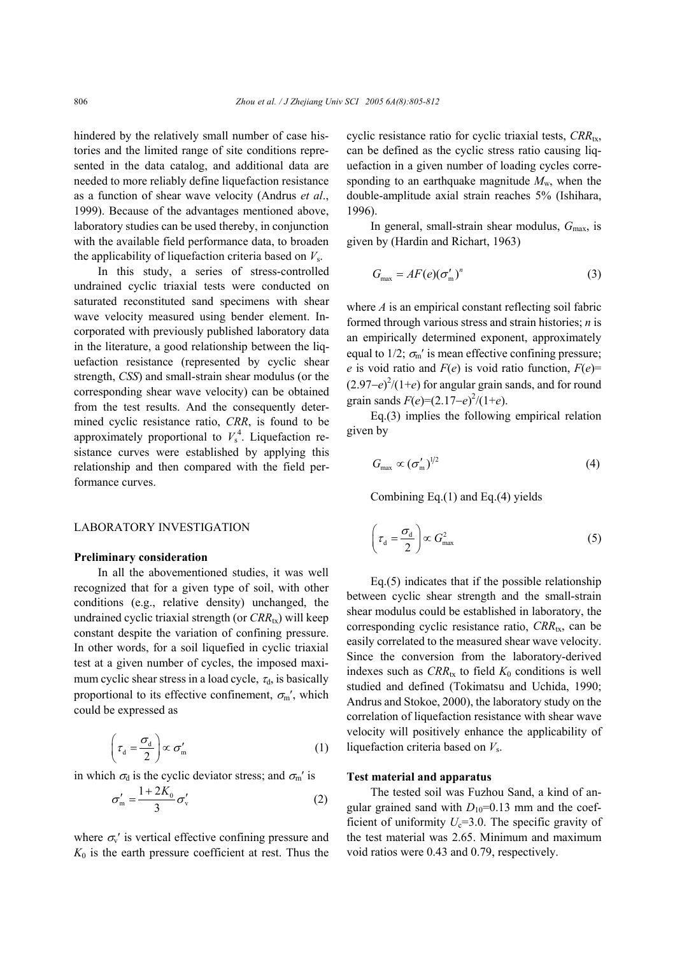hindered by the relatively small number of case histories and the limited range of site conditions represented in the data catalog, and additional data are needed to more reliably define liquefaction resistance as a function of shear wave velocity (Andrus *et al*., 1999). Because of the advantages mentioned above, laboratory studies can be used thereby, in conjunction with the available field performance data, to broaden the applicability of liquefaction criteria based on *V*s.

In this study, a series of stress-controlled undrained cyclic triaxial tests were conducted on saturated reconstituted sand specimens with shear wave velocity measured using bender element. Incorporated with previously published laboratory data in the literature, a good relationship between the liquefaction resistance (represented by cyclic shear strength, *CSS*) and small-strain shear modulus (or the corresponding shear wave velocity) can be obtained from the test results. And the consequently determined cyclic resistance ratio, *CRR*, is found to be approximately proportional to  $V_s^4$ . Liquefaction resistance curves were established by applying this relationship and then compared with the field performance curves.

# LABORATORY INVESTIGATION

#### **Preliminary consideration**

In all the abovementioned studies, it was well recognized that for a given type of soil, with other conditions (e.g., relative density) unchanged, the undrained cyclic triaxial strength (or  $CRR_{tx}$ ) will keep constant despite the variation of confining pressure. In other words, for a soil liquefied in cyclic triaxial test at a given number of cycles, the imposed maximum cyclic shear stress in a load cycle,  $\tau_d$ , is basically proportional to its effective confinement,  $\sigma_{m}$ ', which could be expressed as

$$
\left(\tau_{\rm d} = \frac{\sigma_{\rm d}}{2}\right) \propto \sigma_{\rm m}' \tag{1}
$$

in which  $\sigma_d$  is the cyclic deviator stress; and  $\sigma_{m}$ ' is

$$
\sigma'_{\rm m} = \frac{1 + 2K_0}{3} \sigma'_{\rm v}
$$
 (2)

where  $\sigma_{v}$ ' is vertical effective confining pressure and  $K_0$  is the earth pressure coefficient at rest. Thus the cyclic resistance ratio for cyclic triaxial tests, *CRR*<sub>tx</sub>, can be defined as the cyclic stress ratio causing liquefaction in a given number of loading cycles corresponding to an earthquake magnitude  $M_{\rm w}$ , when the double-amplitude axial strain reaches 5% (Ishihara, 1996).

In general, small-strain shear modulus,  $G_{\text{max}}$ , is given by (Hardin and Richart, 1963)

$$
G_{\max} = AF(e)(\sigma'_{\min})^n \tag{3}
$$

where *A* is an empirical constant reflecting soil fabric formed through various stress and strain histories; *n* is an empirically determined exponent, approximately equal to 1/2;  $\sigma_{\rm m}$ ' is mean effective confining pressure; *e* is void ratio and  $F(e)$  is void ratio function,  $F(e)$ = (2.97−*e*) 2 /(1+*e*) for angular grain sands, and for round grain sands  $F(e)=(2.17-e)^2/(1+e)$ .

Eq.(3) implies the following empirical relation given by

$$
G_{\text{max}} \propto (\sigma'_{\text{m}})^{1/2} \tag{4}
$$

Combining Eq.(1) and Eq.(4) yields

$$
\left(\tau_{\rm d} = \frac{\sigma_{\rm d}}{2}\right) \propto G_{\rm max}^2\tag{5}
$$

Eq.(5) indicates that if the possible relationship between cyclic shear strength and the small-strain shear modulus could be established in laboratory, the corresponding cyclic resistance ratio,  $CRR_{tx}$ , can be easily correlated to the measured shear wave velocity. Since the conversion from the laboratory-derived indexes such as  $CRR_{tx}$  to field  $K_0$  conditions is well studied and defined (Tokimatsu and Uchida, 1990; Andrus and Stokoe, 2000), the laboratory study on the correlation of liquefaction resistance with shear wave velocity will positively enhance the applicability of liquefaction criteria based on *V*s.

## **Test material and apparatus**

The tested soil was Fuzhou Sand, a kind of angular grained sand with  $D_{10}=0.13$  mm and the coefficient of uniformity  $U_c$ =3.0. The specific gravity of the test material was 2.65. Minimum and maximum void ratios were 0.43 and 0.79, respectively.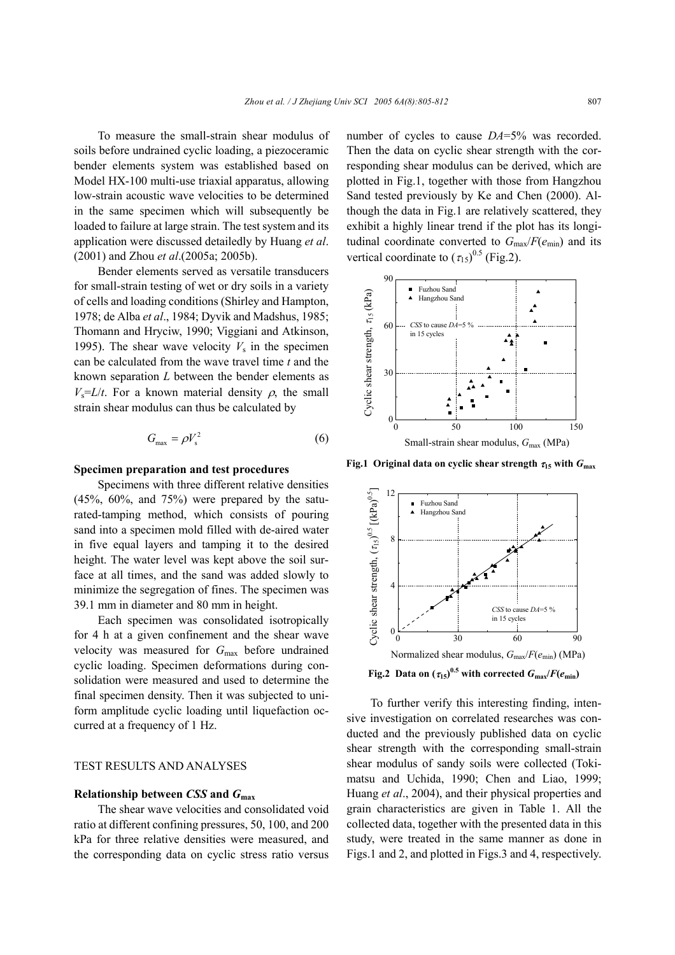To measure the small-strain shear modulus of soils before undrained cyclic loading, a piezoceramic bender elements system was established based on Model HX-100 multi-use triaxial apparatus, allowing low-strain acoustic wave velocities to be determined in the same specimen which will subsequently be loaded to failure at large strain. The test system and its application were discussed detailedly by Huang *et al*. (2001) and Zhou *et al*.(2005a; 2005b).

Bender elements served as versatile transducers for small-strain testing of wet or dry soils in a variety of cells and loading conditions (Shirley and Hampton, 1978; de Alba *et al*., 1984; Dyvik and Madshus, 1985; Thomann and Hryciw, 1990; Viggiani and Atkinson, 1995). The shear wave velocity  $V_s$  in the specimen can be calculated from the wave travel time *t* and the known separation *L* between the bender elements as  $V_s = L/t$ . For a known material density  $\rho$ , the small strain shear modulus can thus be calculated by

$$
G_{\text{max}} = \rho V_s^2 \tag{6}
$$

#### **Specimen preparation and test procedures**

Specimens with three different relative densities (45%, 60%, and 75%) were prepared by the saturated-tamping method, which consists of pouring sand into a specimen mold filled with de-aired water in five equal layers and tamping it to the desired height. The water level was kept above the soil surface at all times, and the sand was added slowly to minimize the segregation of fines. The specimen was 39.1 mm in diameter and 80 mm in height.

Each specimen was consolidated isotropically for 4 h at a given confinement and the shear wave velocity was measured for *G*max before undrained cyclic loading. Specimen deformations during consolidation were measured and used to determine the final specimen density. Then it was subjected to uniform amplitude cyclic loading until liquefaction occurred at a frequency of 1 Hz.

## TEST RESULTS AND ANALYSES

#### **Relationship between** *CSS* **and** *G***max**

The shear wave velocities and consolidated void ratio at different confining pressures, 50, 100, and 200 kPa for three relative densities were measured, and the corresponding data on cyclic stress ratio versus number of cycles to cause *DA*=5% was recorded. Then the data on cyclic shear strength with the corresponding shear modulus can be derived, which are plotted in Fig.1, together with those from Hangzhou Sand tested previously by Ke and Chen (2000). Although the data in Fig.1 are relatively scattered, they exhibit a highly linear trend if the plot has its longitudinal coordinate converted to  $G_{\text{max}}/F(e_{\text{min}})$  and its vertical coordinate to  $(\tau_{15})^{0.5}$  (Fig.2).



**Fig.1 Original data on cyclic shear strength** τ**15 with** *G***max**



**Fig.2 Data on**  $(\tau_{15})^{0.5}$  **with corrected**  $G_{\text{max}}/F(e_{\text{min}})$ 

To further verify this interesting finding, intensive investigation on correlated researches was conducted and the previously published data on cyclic shear strength with the corresponding small-strain shear modulus of sandy soils were collected (Tokimatsu and Uchida, 1990; Chen and Liao, 1999; Huang *et al*., 2004), and their physical properties and grain characteristics are given in Table 1. All the collected data, together with the presented data in this study, were treated in the same manner as done in Figs.1 and 2, and plotted in Figs.3 and 4, respectively.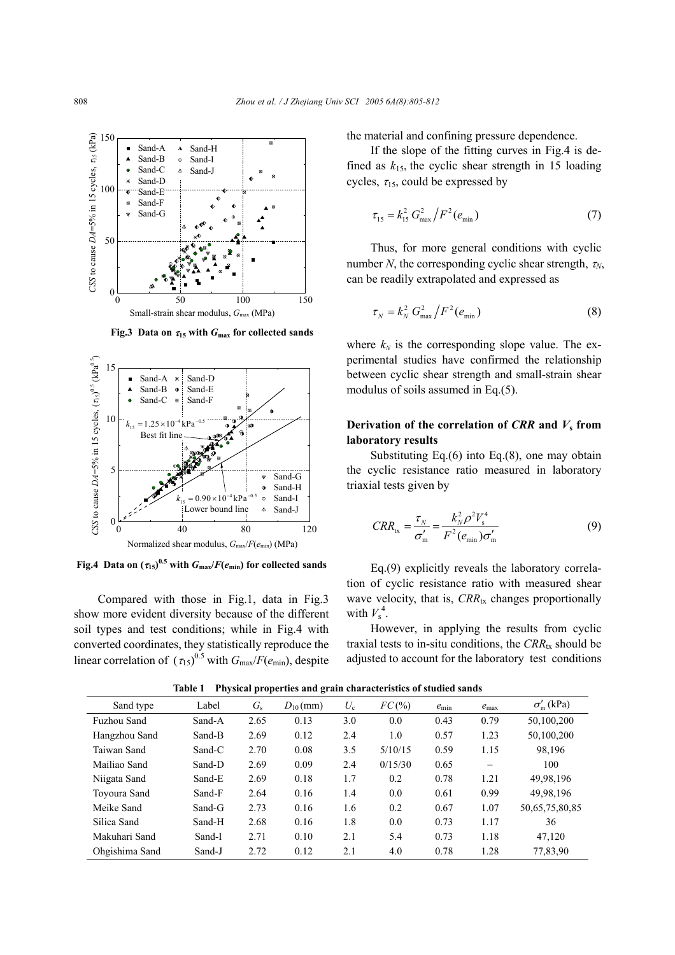

**Fig.3** Data on  $\tau_{15}$  with  $G_{\text{max}}$  for collected sands



**Fig.4** Data on  $(\tau_{15})^{0.5}$  with  $G_{\text{max}}/F(e_{\text{min}})$  for collected sands

Compared with those in Fig.1, data in Fig.3 show more evident diversity because of the different soil types and test conditions; while in Fig.4 with converted coordinates, they statistically reproduce the linear correlation of  $(\tau_{15})^{0.5}$  with  $G_{\text{max}}/F(e_{\text{min}})$ , despite the material and confining pressure dependence.

If the slope of the fitting curves in Fig.4 is defined as  $k_{15}$ , the cyclic shear strength in 15 loading cycles,  $\tau_{15}$ , could be expressed by

$$
\tau_{15} = k_{15}^2 G_{\text{max}}^2 / F^2(e_{\text{min}})
$$
 (7)

Thus, for more general conditions with cyclic number *N*, the corresponding cyclic shear strength,  $\tau_N$ , can be readily extrapolated and expressed as

$$
\tau_N = k_N^2 G_{\text{max}}^2 / F^2(e_{\text{min}})
$$
\n(8)

where  $k_N$  is the corresponding slope value. The experimental studies have confirmed the relationship between cyclic shear strength and small-strain shear modulus of soils assumed in Eq.(5).

# **Derivation of the correlation of**  $CRR$  **and**  $V_s$  **from laboratory results**

Substituting Eq.(6) into Eq.(8), one may obtain the cyclic resistance ratio measured in laboratory triaxial tests given by

$$
CRR_{tx} = \frac{\tau_N}{\sigma_m'} = \frac{k_N^2 \rho^2 V_s^4}{F^2 (e_{\min}) \sigma_m'} \tag{9}
$$

Eq.(9) explicitly reveals the laboratory correlation of cyclic resistance ratio with measured shear wave velocity, that is,  $CRR_{tx}$  changes proportionally with  $V_s^4$ .

However, in applying the results from cyclic traxial tests to in-situ conditions, the  $CRR_{tx}$  should be adjusted to account for the laboratory test conditions

| Sand type      | Label  | $G_{\rm s}$ | $D_{10}$ (mm) | $U_{c}$ | FC(%)   | $e_{\rm min}$ | $e_{\text{max}}$         | $\sigma'_{m}$ (kPa) |
|----------------|--------|-------------|---------------|---------|---------|---------------|--------------------------|---------------------|
| Fuzhou Sand    | Sand-A | 2.65        | 0.13          | 3.0     | 0.0     | 0.43          | 0.79                     | 50,100,200          |
| Hangzhou Sand  | Sand-B | 2.69        | 0.12          | 2.4     | 1.0     | 0.57          | 1.23                     | 50,100,200          |
| Taiwan Sand    | Sand-C | 2.70        | 0.08          | 3.5     | 5/10/15 | 0.59          | 1.15                     | 98.196              |
| Mailiao Sand   | Sand-D | 2.69        | 0.09          | 2.4     | 0/15/30 | 0.65          | $\overline{\phantom{0}}$ | 100                 |
| Niigata Sand   | Sand-E | 2.69        | 0.18          | 1.7     | 0.2     | 0.78          | 1.21                     | 49,98,196           |
| Toyoura Sand   | Sand-F | 2.64        | 0.16          | 1.4     | 0.0     | 0.61          | 0.99                     | 49,98,196           |
| Meike Sand     | Sand-G | 2.73        | 0.16          | 1.6     | 0.2     | 0.67          | 1.07                     | 50,65,75,80,85      |
| Silica Sand    | Sand-H | 2.68        | 0.16          | 1.8     | 0.0     | 0.73          | 1.17                     | 36                  |
| Makuhari Sand  | Sand-I | 2.71        | 0.10          | 2.1     | 5.4     | 0.73          | 1.18                     | 47,120              |
| Ohgishima Sand | Sand-J | 2.72        | 0.12          | 2.1     | 4.0     | 0.78          | 1.28                     | 77,83,90            |

**Table 1 Physical properties and grain characteristics of studied sands**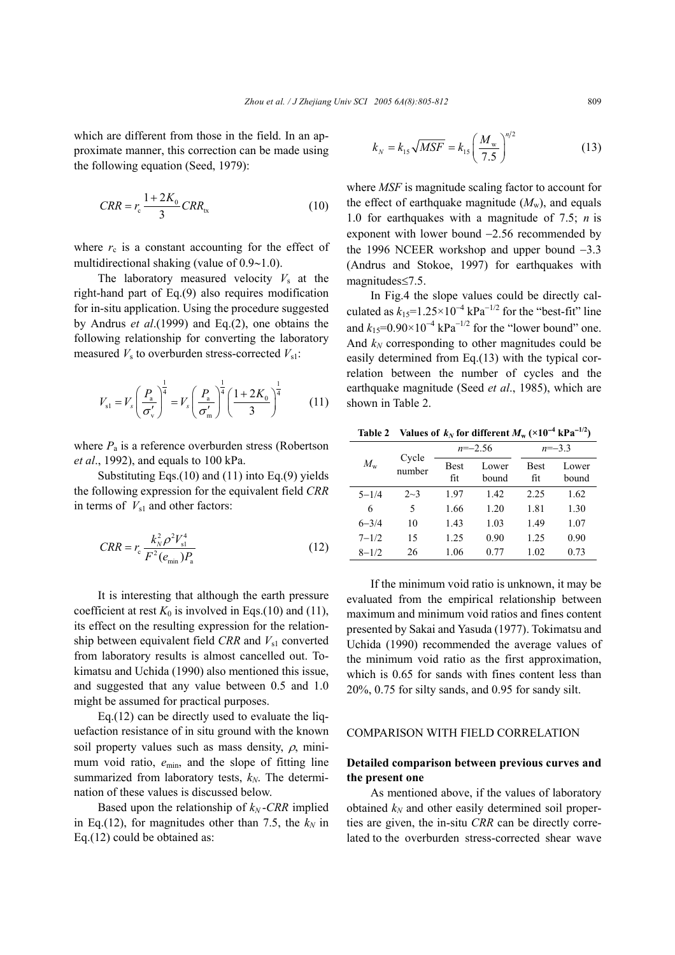which are different from those in the field. In an approximate manner, this correction can be made using the following equation (Seed, 1979):

$$
CRR = r_c \frac{1 + 2K_0}{3} CRR_{tx}
$$
 (10)

where  $r_c$  is a constant accounting for the effect of multidirectional shaking (value of 0.9∼1.0).

The laboratory measured velocity  $V_s$  at the right-hand part of Eq.(9) also requires modification for in-situ application. Using the procedure suggested by Andrus *et al*.(1999) and Eq.(2), one obtains the following relationship for converting the laboratory measured  $V_s$  to overburden stress-corrected  $V_{s1}$ :

$$
V_{\rm sl} = V_s \left(\frac{P_{\rm a}}{\sigma_{\rm v}'}\right)^{\frac{1}{4}} = V_s \left(\frac{P_{\rm a}}{\sigma_{\rm m}'}\right)^{\frac{1}{4}} \left(\frac{1+2K_0}{3}\right)^{\frac{1}{4}}\tag{11}
$$

where  $P_a$  is a reference overburden stress (Robertson *et al*., 1992), and equals to 100 kPa.

Substituting Eqs.(10) and (11) into Eq.(9) yields the following expression for the equivalent field *CRR* in terms of  $V_{s1}$  and other factors:

$$
CRR = r_{\rm c} \frac{k_{\rm N}^2 \rho^2 V_{\rm sl}^4}{F^2 (e_{\rm min}) P_{\rm a}}
$$
 (12)

It is interesting that although the earth pressure coefficient at rest  $K_0$  is involved in Eqs.(10) and (11), its effect on the resulting expression for the relationship between equivalent field *CRR* and  $V_{s1}$  converted from laboratory results is almost cancelled out. Tokimatsu and Uchida (1990) also mentioned this issue, and suggested that any value between 0.5 and 1.0 might be assumed for practical purposes.

Eq.(12) can be directly used to evaluate the liquefaction resistance of in situ ground with the known soil property values such as mass density,  $\rho$ , minimum void ratio, *e*min, and the slope of fitting line summarized from laboratory tests,  $k_N$ . The determination of these values is discussed below.

Based upon the relationship of  $k_N$ -CRR implied in Eq.(12), for magnitudes other than 7.5, the  $k_N$  in Eq.(12) could be obtained as:

$$
k_N = k_{15} \sqrt{MSF} = k_{15} \left(\frac{M_{\rm w}}{7.5}\right)^{n/2} \tag{13}
$$

where *MSF* is magnitude scaling factor to account for the effect of earthquake magnitude  $(M_w)$ , and equals 1.0 for earthquakes with a magnitude of 7.5; *n* is exponent with lower bound −2.56 recommended by the 1996 NCEER workshop and upper bound −3.3 (Andrus and Stokoe, 1997) for earthquakes with magnitudes≤7.5.

In Fig.4 the slope values could be directly calculated as  $k_{15}=1.25\times10^{-4}$  kPa<sup>-1/2</sup> for the "best-fit" line and  $k_{15}=0.90\times10^{-4}$  kPa<sup>-1/2</sup> for the "lower bound" one. And  $k_N$  corresponding to other magnitudes could be easily determined from Eq.(13) with the typical correlation between the number of cycles and the earthquake magnitude (Seed *et al*., 1985), which are shown in Table 2.

|  |  |  | Table 2 Values of $k_N$ for different $M_w$ (×10 <sup>-4</sup> kPa <sup>-1/2</sup> ) |  |  |
|--|--|--|--------------------------------------------------------------------------------------|--|--|
|--|--|--|--------------------------------------------------------------------------------------|--|--|

| $M_{\rm w}$ | Cycle<br>number |             | $n = -2.56$    | $n = -3.3$         |                |  |
|-------------|-----------------|-------------|----------------|--------------------|----------------|--|
|             |                 | Best<br>fit | Lower<br>bound | <b>Best</b><br>fit | Lower<br>bound |  |
| $5 - 1/4$   | $2 - 3$         | 1.97        | 1.42           | 2.25               | 1.62           |  |
| 6           | 5               | 1.66        | 1.20           | 1.81               | 1.30           |  |
| $6 - 3/4$   | 10              | 1.43        | 1.03           | 1.49               | 1.07           |  |
| $7 - 1/2$   | 15              | 1.25        | 0.90           | 1.25               | 0.90           |  |
| $8 - 1/2$   | 26              | 1.06        | 0.77           | 1.02               | 0.73           |  |

If the minimum void ratio is unknown, it may be evaluated from the empirical relationship between maximum and minimum void ratios and fines content presented by Sakai and Yasuda (1977). Tokimatsu and Uchida (1990) recommended the average values of the minimum void ratio as the first approximation, which is  $0.65$  for sands with fines content less than 20%, 0.75 for silty sands, and 0.95 for sandy silt.

#### COMPARISON WITH FIELD CORRELATION

## **Detailed comparison between previous curves and the present one**

As mentioned above, if the values of laboratory obtained  $k_N$  and other easily determined soil properties are given, the in-situ *CRR* can be directly correlated to the overburden stress-corrected shear wave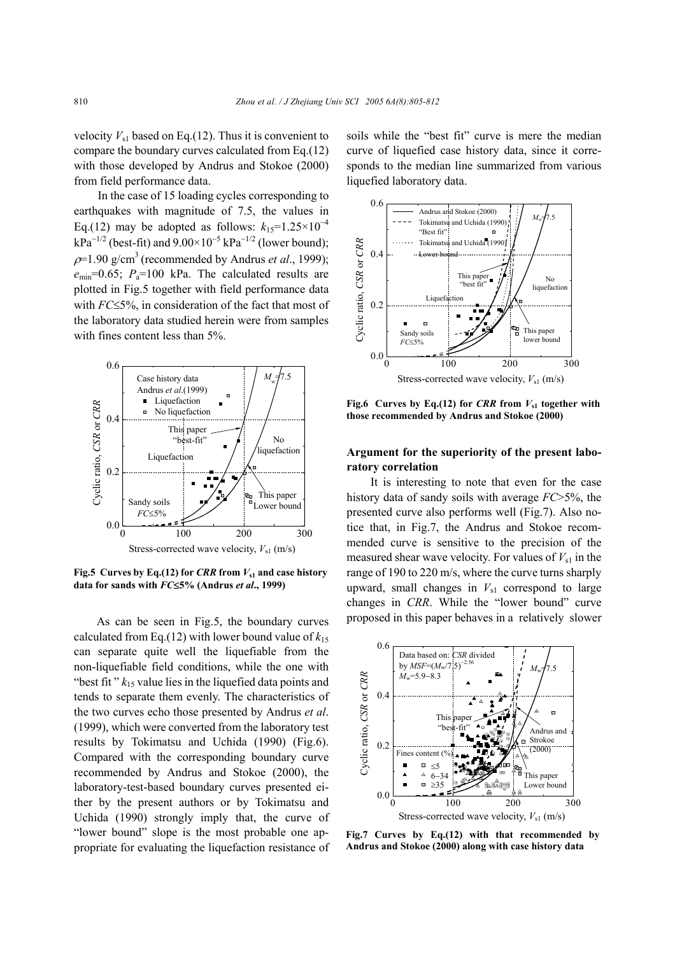velocity  $V_{s1}$  based on Eq.(12). Thus it is convenient to compare the boundary curves calculated from Eq.(12) with those developed by Andrus and Stokoe (2000) from field performance data.

In the case of 15 loading cycles corresponding to earthquakes with magnitude of 7.5, the values in Eq.(12) may be adopted as follows:  $k_{15}=1.25\times10^{-4}$  $kPa^{-1/2}$  (best-fit) and  $9.00\times10^{-5}$   $kPa^{-1/2}$  (lower bound);  $p=1.90$  g/cm<sup>3</sup> (recommended by Andrus *et al.*, 1999);  $e_{\text{min}}$ =0.65;  $P_a$ =100 kPa. The calculated results are plotted in Fig.5 together with field performance data with *FC*≤5%, in consideration of the fact that most of the laboratory data studied herein were from samples with fines content less than 5%.



**Fig.5** Curves by Eq.(12) for *CRR* from  $V_{s1}$  and case history **data for sands with** *FC*≤**5% (Andrus** *et al***., 1999)**

As can be seen in Fig.5, the boundary curves calculated from Eq.(12) with lower bound value of  $k_{15}$ can separate quite well the liquefiable from the non-liquefiable field conditions, while the one with "best fit"  $k_{15}$  value lies in the liquefied data points and tends to separate them evenly. The characteristics of the two curves echo those presented by Andrus *et al*. (1999), which were converted from the laboratory test results by Tokimatsu and Uchida (1990) (Fig.6). Compared with the corresponding boundary curve recommended by Andrus and Stokoe (2000), the laboratory-test-based boundary curves presented either by the present authors or by Tokimatsu and Uchida (1990) strongly imply that, the curve of "lower bound" slope is the most probable one appropriate for evaluating the liquefaction resistance of soils while the "best fit" curve is mere the median curve of liquefied case history data, since it corresponds to the median line summarized from various liquefied laboratory data.



**Fig.6** Curves by Eq.(12) for *CRR* from  $V_{s1}$  together with **those recommended by Andrus and Stokoe (2000)**

# **Argument for the superiority of the present laboratory correlation**

It is interesting to note that even for the case history data of sandy soils with average *FC*>5%, the presented curve also performs well (Fig.7). Also notice that, in Fig.7, the Andrus and Stokoe recommended curve is sensitive to the precision of the measured shear wave velocity. For values of  $V_{s1}$  in the range of 190 to 220 m/s, where the curve turns sharply upward, small changes in  $V_{s1}$  correspond to large changes in *CRR*. While the "lower bound" curve proposed in this paper behaves in a relatively slower



**Fig.7 Curves by Eq.(12) with that recommended by Andrus and Stokoe (2000) along with case history data**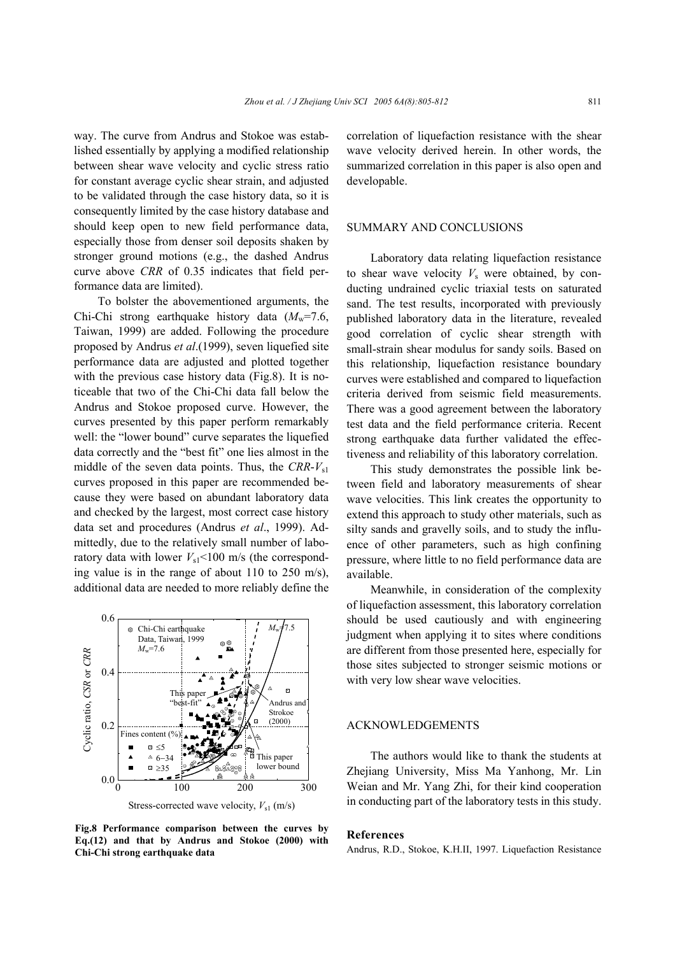way. The curve from Andrus and Stokoe was established essentially by applying a modified relationship between shear wave velocity and cyclic stress ratio for constant average cyclic shear strain, and adjusted to be validated through the case history data, so it is consequently limited by the case history database and should keep open to new field performance data, especially those from denser soil deposits shaken by stronger ground motions (e.g., the dashed Andrus curve above *CRR* of 0.35 indicates that field performance data are limited).

To bolster the abovementioned arguments, the Chi-Chi strong earthquake history data  $(M<sub>w</sub>=7.6)$ , Taiwan, 1999) are added. Following the procedure proposed by Andrus *et al*.(1999), seven liquefied site performance data are adjusted and plotted together with the previous case history data (Fig.8). It is noticeable that two of the Chi-Chi data fall below the Andrus and Stokoe proposed curve. However, the curves presented by this paper perform remarkably well: the "lower bound" curve separates the liquefied data correctly and the "best fit" one lies almost in the middle of the seven data points. Thus, the  $CRR-V_{s1}$ curves proposed in this paper are recommended because they were based on abundant laboratory data and checked by the largest, most correct case history data set and procedures (Andrus *et al*., 1999). Admittedly, due to the relatively small number of laboratory data with lower  $V_{s1}$ <100 m/s (the corresponding value is in the range of about 110 to 250 m/s), additional data are needed to more reliably define the



**Fig.8 Performance comparison between the curves by Eq.(12) and that by Andrus and Stokoe (2000) with Chi-Chi strong earthquake data**

correlation of liquefaction resistance with the shear wave velocity derived herein. In other words, the summarized correlation in this paper is also open and developable.

#### SUMMARY AND CONCLUSIONS

Laboratory data relating liquefaction resistance to shear wave velocity  $V_s$  were obtained, by conducting undrained cyclic triaxial tests on saturated sand. The test results, incorporated with previously published laboratory data in the literature, revealed good correlation of cyclic shear strength with small-strain shear modulus for sandy soils. Based on this relationship, liquefaction resistance boundary curves were established and compared to liquefaction criteria derived from seismic field measurements. There was a good agreement between the laboratory test data and the field performance criteria. Recent strong earthquake data further validated the effectiveness and reliability of this laboratory correlation.

This study demonstrates the possible link between field and laboratory measurements of shear wave velocities. This link creates the opportunity to extend this approach to study other materials, such as silty sands and gravelly soils, and to study the influence of other parameters, such as high confining pressure, where little to no field performance data are available.

Meanwhile, in consideration of the complexity of liquefaction assessment, this laboratory correlation should be used cautiously and with engineering judgment when applying it to sites where conditions are different from those presented here, especially for those sites subjected to stronger seismic motions or with very low shear wave velocities.

#### ACKNOWLEDGEMENTS

The authors would like to thank the students at Zhejiang University, Miss Ma Yanhong, Mr. Lin Weian and Mr. Yang Zhi, for their kind cooperation in conducting part of the laboratory tests in this study.

#### **References**

Andrus, R.D., Stokoe, K.H.II, 1997. Liquefaction Resistance